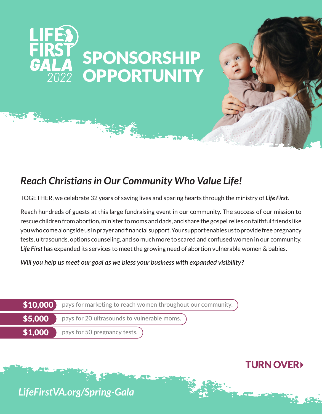

## *Reach Christians in Our Community Who Value Life!*

TOGETHER, we celebrate 32 years of saving lives and sparing hearts through the ministry of *Life First.*

Reach hundreds of guests at this large fundraising event in our community. The success of our mission to rescue children from abortion, minister to moms and dads, and share the gospel relies on faithful friends like you who come alongside us in prayer and financial support. Your support enables us to provide free pregnancy tests, ultrasounds, options counseling, and so much more to scared and confused women in our community. *Life First* has expanded its services to meet the growing need of abortion vulnerable women & babies.

*Will you help us meet our goal as we bless your business with expanded visibility?*

|         | $\ket{\$10,000}$ pays for marketing to reach women throughout our community. |
|---------|------------------------------------------------------------------------------|
| \$5,000 | pays for 20 ultrasounds to vulnerable moms.                                  |
| \$1,000 | pays for 50 pregnancy tests.                                                 |

TURN OVER

*LifeFirstVA.org/Spring-Gala*